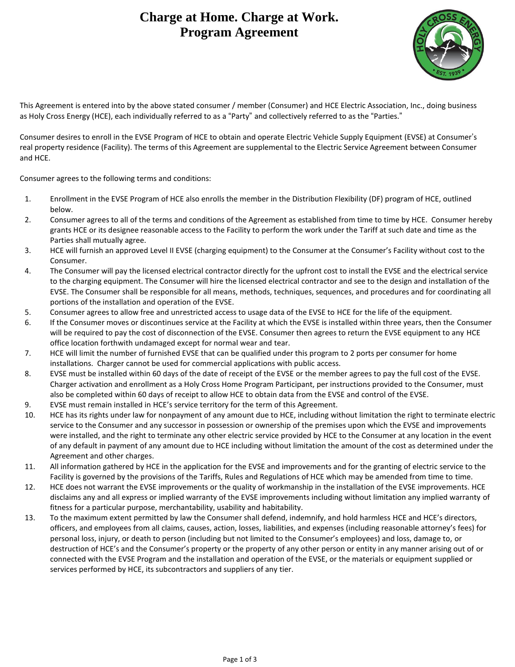## **Charge at Home. Charge at Work. Program Agreement**



This Agreement is entered into by the above stated consumer / member (Consumer) and HCE Electric Association, Inc., doing business as Holy Cross Energy (HCE), each individually referred to as a "Party" and collectively referred to as the "Parties."

Consumer desires to enroll in the EVSE Program of HCE to obtain and operate Electric Vehicle Supply Equipment (EVSE) at Consumer's real property residence (Facility). The terms of this Agreement are supplemental to the Electric Service Agreement between Consumer and HCE.

Consumer agrees to the following terms and conditions:

- 1. Enrollment in the EVSE Program of HCE also enrolls the member in the Distribution Flexibility (DF) program of HCE, outlined below.
- 2. Consumer agrees to all of the terms and conditions of the Agreement as established from time to time by HCE. Consumer hereby grants HCE or its designee reasonable access to the Facility to perform the work under the Tariff at such date and time as the Parties shall mutually agree.
- 3. HCE will furnish an approved Level II EVSE (charging equipment) to the Consumer at the Consumer's Facility without cost to the Consumer.
- 4. The Consumer will pay the licensed electrical contractor directly for the upfront cost to install the EVSE and the electrical service to the charging equipment. The Consumer will hire the licensed electrical contractor and see to the design and installation of the EVSE. The Consumer shall be responsible for all means, methods, techniques, sequences, and procedures and for coordinating all portions of the installation and operation of the EVSE.
- 5. Consumer agrees to allow free and unrestricted access to usage data of the EVSE to HCE for the life of the equipment.
- 6. If the Consumer moves or discontinues service at the Facility at which the EVSE is installed within three years, then the Consumer will be required to pay the cost of disconnection of the EVSE. Consumer then agrees to return the EVSE equipment to any HCE office location forthwith undamaged except for normal wear and tear.
- 7. HCE will limit the number of furnished EVSE that can be qualified under this program to 2 ports per consumer for home installations. Charger cannot be used for commercial applications with public access.
- 8. EVSE must be installed within 60 days of the date of receipt of the EVSE or the member agrees to pay the full cost of the EVSE. Charger activation and enrollment as a Holy Cross Home Program Participant, per instructions provided to the Consumer, must also be completed within 60 days of receipt to allow HCE to obtain data from the EVSE and control of the EVSE.
- 9. EVSE must remain installed in HCE's service territory for the term of this Agreement.
- 10. HCE has its rights under law for nonpayment of any amount due to HCE, including without limitation the right to terminate electric service to the Consumer and any successor in possession or ownership of the premises upon which the EVSE and improvements were installed, and the right to terminate any other electric service provided by HCE to the Consumer at any location in the event of any default in payment of any amount due to HCE including without limitation the amount of the cost as determined under the Agreement and other charges.
- 11. All information gathered by HCE in the application for the EVSE and improvements and for the granting of electric service to the Facility is governed by the provisions of the Tariffs, Rules and Regulations of HCE which may be amended from time to time.
- 12. HCE does not warrant the EVSE improvements or the quality of workmanship in the installation of the EVSE improvements. HCE disclaims any and all express or implied warranty of the EVSE improvements including without limitation any implied warranty of fitness for a particular purpose, merchantability, usability and habitability.
- 13. To the maximum extent permitted by law the Consumer shall defend, indemnify, and hold harmless HCE and HCE's directors, officers, and employees from all claims, causes, action, losses, liabilities, and expenses (including reasonable attorney's fees) for personal loss, injury, or death to person (including but not limited to the Consumer's employees) and loss, damage to, or destruction of HCE's and the Consumer's property or the property of any other person or entity in any manner arising out of or connected with the EVSE Program and the installation and operation of the EVSE, or the materials or equipment supplied or services performed by HCE, its subcontractors and suppliers of any tier.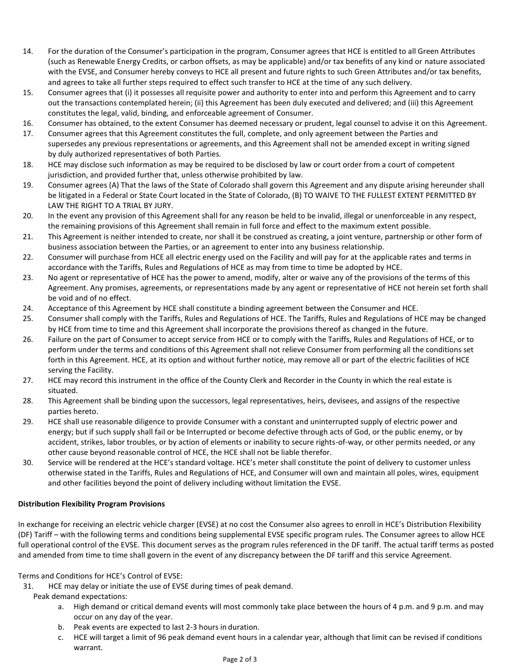- 14. For the duration of the Consumer's participation in the program, Consumer agrees that HCE is entitled to all Green Attributes (such as Renewable Energy Credits, or carbon offsets, as may be applicable) and/or tax benefits of any kind or nature associated with the EVSE, and Consumer hereby conveys to HCE all present and future rights to such Green Attributes and/or tax benefits, and agrees to take all further steps required to effect such transfer to HCE at the time of any such delivery.
- 15. Consumer agrees that (i) it possesses all requisite power and authority to enter into and perform this Agreement and to carry out the transactions contemplated herein; (ii) this Agreement has been duly executed and delivered; and (iii) this Agreement constitutes the legal, valid, binding, and enforceable agreement of Consumer.
- 16. Consumer has obtained, to the extent Consumer has deemed necessary or prudent, legal counsel to advise it on this Agreement.
- 17. Consumer agrees that this Agreement constitutes the full, complete, and only agreement between the Parties and supersedes any previous representations or agreements, and this Agreement shall not be amended except in writing signed by duly authorized representatives of both Parties.
- 18. HCE may disclose such information as may be required to be disclosed by law or court order from a court of competent jurisdiction, and provided further that, unless otherwise prohibited by law.
- 19. Consumer agrees (A) That the laws of the State of Colorado shall govern this Agreement and any dispute arising hereunder shall be litigated in a Federal or State Court located in the State of Colorado, (B) TO WAIVE TO THE FULLEST EXTENT PERMITTED BY LAW THE RIGHT TO A TRIAL BY JURY.
- 20. In the event any provision of this Agreement shall for any reason be held to be invalid, illegal or unenforceable in any respect, the remaining provisions of this Agreement shall remain in full force and effect to the maximum extent possible.
- 21. This Agreement is neither intended to create, nor shall it be construed as creating, a joint venture, partnership or other form of business association between the Parties, or an agreement to enter into any business relationship.
- 22. Consumer will purchase from HCE all electric energy used on the Facility and will pay for at the applicable rates and terms in accordance with the Tariffs, Rules and Regulations of HCE as may from time to time be adopted by HCE.
- 23. No agent or representative of HCE has the power to amend, modify, alter or waive any of the provisions of the terms of this Agreement. Any promises, agreements, or representations made by any agent or representative of HCE not herein set forth shall be void and of no effect.
- 24. Acceptance of this Agreement by HCE shall constitute a binding agreement between the Consumer and HCE.
- 25. Consumer shall comply with the Tariffs, Rules and Regulations of HCE. The Tariffs, Rules and Regulations of HCE may be changed by HCE from time to time and this Agreement shall incorporate the provisions thereof as changed in the future.
- 26. Failure on the part of Consumer to accept service from HCE or to comply with the Tariffs, Rules and Regulations of HCE, or to perform under the terms and conditions of this Agreement shall not relieve Consumer from performing all the conditions set forth in this Agreement. HCE, at its option and without further notice, may remove all or part of the electric facilities of HCE serving the Facility.
- 27. HCE may record this instrument in the office of the County Clerk and Recorder in the County in which the real estate is situated.
- 28. This Agreement shall be binding upon the successors, legal representatives, heirs, devisees, and assigns of the respective parties hereto.
- 29. HCE shall use reasonable diligence to provide Consumer with a constant and uninterrupted supply of electric power and energy; but if such supply shall fail or be Interrupted or become defective through acts of God, or the public enemy, or by accident, strikes, labor troubles, or by action of elements or inability to secure rights-of-way, or other permits needed, or any other cause beyond reasonable control of HCE, the HCE shall not be liable therefor.
- 30. Service will be rendered at the HCE's standard voltage. HCE's meter shall constitute the point of delivery to customer unless otherwise stated in the Tariffs, Rules and Regulations of HCE, and Consumer will own and maintain all poles, wires, equipment and other facilities beyond the point of delivery including without limitation the EVSE.

## **Distribution Flexibility Program Provisions**

In exchange for receiving an electric vehicle charger (EVSE) at no cost the Consumer also agrees to enroll in HCE's Distribution Flexibility (DF) Tariff – with the following terms and conditions being supplemental EVSE specific program rules. The Consumer agrees to allow HCE full operational control of the EVSE. This document serves as the program rules referenced in the DF tariff. The actual tariff terms as posted and amended from time to time shall govern in the event of any discrepancy between the DF tariff and this service Agreement.

Terms and Conditions for HCE's Control of EVSE:

- 31. HCE may delay or initiate the use of EVSE during times of peak demand.
- Peak demand expectations:
	- a. High demand or critical demand events will most commonly take place between the hours of 4 p.m. and 9 p.m. and may occur on any day of the year.
	- b. Peak events are expected to last 2-3 hours in duration.
	- c. HCE will target a limit of 96 peak demand event hours in a calendar year, although that limit can be revised if conditions warrant.